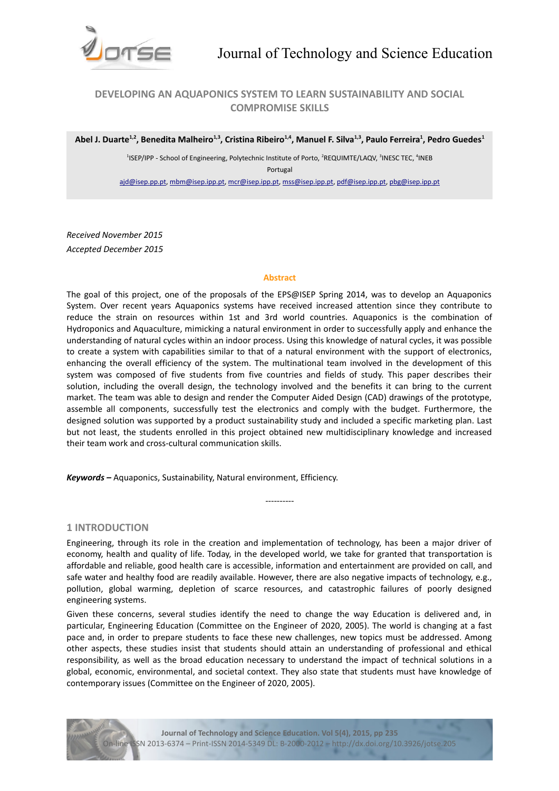

Journal of Technology and Science Education

# **DEVELOPING AN AQUAPONICS SYSTEM TO LEARN SUSTAINABILITY AND SOCIAL COMPROMISE SKILLS**

**Abel J. Duarte1,2, Benedita Malheiro1,3, Cristina Ribeiro1,4, Manuel F. Silva1,3, Paulo Ferreira<sup>1</sup> , Pedro Guedes<sup>1</sup>**

<sup>1</sup>ISEP/IPP - School of Engineering, Polytechnic Institute of Porto, <sup>2</sup>REQUIMTE/LAQV, <sup>3</sup>INESC TEC, <sup>4</sup>INEB Portugal [ajd@isep.pp.pt,](mailto:ajd@isep.pp.pt) [mbm@isep.ipp.pt,](mailto:mbm@isep.ipp.pt) [mcr@isep.ipp.pt,](mailto:mcr@isep.ipp.pt) [mss@isep.ipp.pt,](mailto:mss@isep.ipp.pt) [pdf@isep.ipp.pt,](mailto:pdf@isep.ipp.pt) [pbg@isep.ipp.pt](mailto:pbg@isep.ipp.pt)

*Received November 2015 Accepted December 2015*

## **Abstract**

The goal of this project, one of the proposals of the EPS@ISEP Spring 2014, was to develop an Aquaponics System. Over recent years Aquaponics systems have received increased attention since they contribute to reduce the strain on resources within 1st and 3rd world countries. Aquaponics is the combination of Hydroponics and Aquaculture, mimicking a natural environment in order to successfully apply and enhance the understanding of natural cycles within an indoor process. Using this knowledge of natural cycles, it was possible to create a system with capabilities similar to that of a natural environment with the support of electronics, enhancing the overall efficiency of the system. The multinational team involved in the development of this system was composed of five students from five countries and fields of study. This paper describes their solution, including the overall design, the technology involved and the benefits it can bring to the current market. The team was able to design and render the Computer Aided Design (CAD) drawings of the prototype, assemble all components, successfully test the electronics and comply with the budget. Furthermore, the designed solution was supported by a product sustainability study and included a specific marketing plan. Last but not least, the students enrolled in this project obtained new multidisciplinary knowledge and increased their team work and cross-cultural communication skills.

*Keywords –* Aquaponics, Sustainability, Natural environment, Efficiency.

## **1 INTRODUCTION**

Engineering, through its role in the creation and implementation of technology, has been a major driver of economy, health and quality of life. Today, in the developed world, we take for granted that transportation is affordable and reliable, good health care is accessible, information and entertainment are provided on call, and safe water and healthy food are readily available. However, there are also negative impacts of technology, e.g., pollution, global warming, depletion of scarce resources, and catastrophic failures of poorly designed engineering systems.

----------

Given these concerns, several studies identify the need to change the way Education is delivered and, in particular, Engineering Education (Committee on the Engineer of 2020, 2005). The world is changing at a fast pace and, in order to prepare students to face these new challenges, new topics must be addressed. Among other aspects, these studies insist that students should attain an understanding of professional and ethical responsibility, as well as the broad education necessary to understand the impact of technical solutions in a global, economic, environmental, and societal context. They also state that students must have knowledge of contemporary issues (Committee on the Engineer of 2020, 2005).

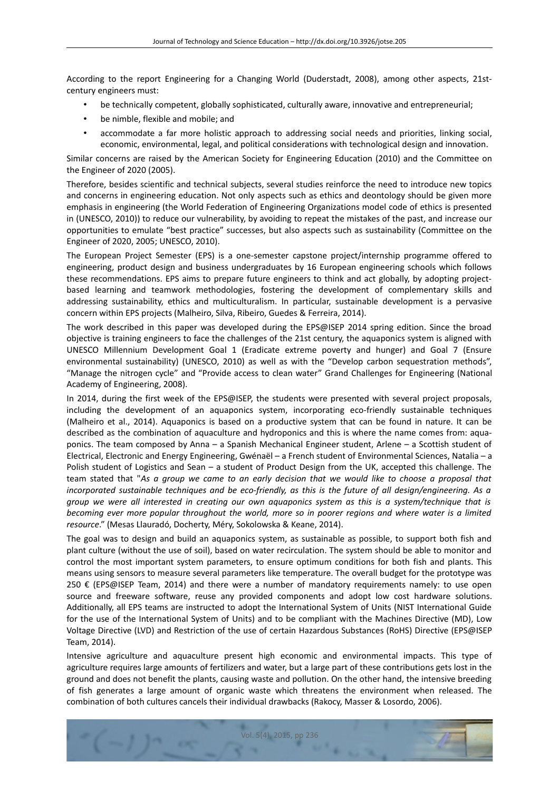According to the report Engineering for a Changing World (Duderstadt, 2008), among other aspects, 21stcentury engineers must:

- be technically competent, globally sophisticated, culturally aware, innovative and entrepreneurial;
- be nimble, flexible and mobile; and
- accommodate a far more holistic approach to addressing social needs and priorities, linking social, economic, environmental, legal, and political considerations with technological design and innovation.

Similar concerns are raised by the American Society for Engineering Education (2010) and the Committee on the Engineer of 2020 (2005).

Therefore, besides scientific and technical subjects, several studies reinforce the need to introduce new topics and concerns in engineering education. Not only aspects such as ethics and deontology should be given more emphasis in engineering (the World Federation of Engineering Organizations model code of ethics is presented in (UNESCO, 2010)) to reduce our vulnerability, by avoiding to repeat the mistakes of the past, and increase our opportunities to emulate "best practice" successes, but also aspects such as sustainability (Committee on the Engineer of 2020, 2005; UNESCO, 2010).

The European Project Semester (EPS) is a one-semester capstone project/internship programme offered to engineering, product design and business undergraduates by 16 European engineering schools which follows these recommendations. EPS aims to prepare future engineers to think and act globally, by adopting projectbased learning and teamwork methodologies, fostering the development of complementary skills and addressing sustainability, ethics and multiculturalism. In particular, sustainable development is a pervasive concern within EPS projects (Malheiro, Silva, Ribeiro, Guedes & Ferreira, 2014).

The work described in this paper was developed during the EPS@ISEP 2014 spring edition. Since the broad objective is training engineers to face the challenges of the 21st century, the aquaponics system is aligned with UNESCO Millennium Development Goal 1 (Eradicate extreme poverty and hunger) and Goal 7 (Ensure environmental sustainability) (UNESCO, 2010) as well as with the "Develop carbon sequestration methods", "Manage the nitrogen cycle" and "Provide access to clean water" Grand Challenges for Engineering (National Academy of Engineering, 2008).

In 2014, during the first week of the EPS@ISEP, the students were presented with several project proposals, including the development of an aquaponics system, incorporating eco-friendly sustainable techniques (Malheiro et al., 2014). Aquaponics is based on a productive system that can be found in nature. It can be described as the combination of aquaculture and hydroponics and this is where the name comes from: aquaponics. The team composed by Anna – a Spanish Mechanical Engineer student, Arlene – a Scottish student of Electrical, Electronic and Energy Engineering, Gwénaël – a French student of Environmental Sciences, Natalia – a Polish student of Logistics and Sean – a student of Product Design from the UK, accepted this challenge. The team stated that "*As a group we came to an early decision that we would like to choose a proposal that incorporated sustainable techniques and be eco-friendly, as this is the future of all design/engineering. As a group we were all interested in creating our own aquaponics system as this is a system/technique that is becoming ever more popular throughout the world, more so in poorer regions and where water is a limited resource*." (Mesas Llauradó, Docherty, Méry, Sokolowska & Keane, 2014).

The goal was to design and build an aquaponics system, as sustainable as possible, to support both fish and plant culture (without the use of soil), based on water recirculation. The system should be able to monitor and control the most important system parameters, to ensure optimum conditions for both fish and plants. This means using sensors to measure several parameters like temperature. The overall budget for the prototype was 250 € (EPS@ISEP Team, 2014) and there were a number of mandatory requirements namely: to use open source and freeware software, reuse any provided components and adopt low cost hardware solutions. Additionally, all EPS teams are instructed to adopt the International System of Units (NIST International Guide for the use of the International System of Units) and to be compliant with the Machines Directive (MD), Low Voltage Directive (LVD) and Restriction of the use of certain Hazardous Substances (RoHS) Directive (EPS@ISEP Team, 2014).

Intensive agriculture and aquaculture present high economic and environmental impacts. This type of agriculture requires large amounts of fertilizers and water, but a large part of these contributions gets lost in the ground and does not benefit the plants, causing waste and pollution. On the other hand, the intensive breeding of fish generates a large amount of organic waste which threatens the environment when released. The combination of both cultures cancels their individual drawbacks (Rakocy, Masser & Losordo, 2006).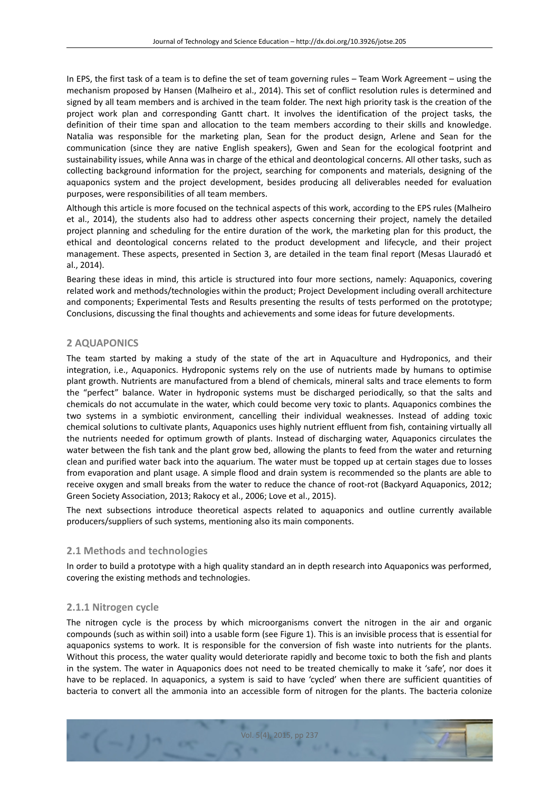In EPS, the first task of a team is to define the set of team governing rules – Team Work Agreement – using the mechanism proposed by Hansen (Malheiro et al., 2014). This set of conflict resolution rules is determined and signed by all team members and is archived in the team folder. The next high priority task is the creation of the project work plan and corresponding Gantt chart. It involves the identification of the project tasks, the definition of their time span and allocation to the team members according to their skills and knowledge. Natalia was responsible for the marketing plan, Sean for the product design, Arlene and Sean for the communication (since they are native English speakers), Gwen and Sean for the ecological footprint and sustainability issues, while Anna was in charge of the ethical and deontological concerns. All other tasks, such as collecting background information for the project, searching for components and materials, designing of the aquaponics system and the project development, besides producing all deliverables needed for evaluation purposes, were responsibilities of all team members.

Although this article is more focused on the technical aspects of this work, according to the EPS rules (Malheiro et al., 2014), the students also had to address other aspects concerning their project, namely the detailed project planning and scheduling for the entire duration of the work, the marketing plan for this product, the ethical and deontological concerns related to the product development and lifecycle, and their project management. These aspects, presented in Section 3, are detailed in the team final report (Mesas Llauradó et al., 2014).

Bearing these ideas in mind, this article is structured into four more sections, namely: Aquaponics, covering related work and methods/technologies within the product; Project Development including overall architecture and components; Experimental Tests and Results presenting the results of tests performed on the prototype; Conclusions, discussing the final thoughts and achievements and some ideas for future developments.

## **2 AQUAPONICS**

The team started by making a study of the state of the art in Aquaculture and Hydroponics, and their integration, i.e., Aquaponics. Hydroponic systems rely on the use of nutrients made by humans to optimise plant growth. Nutrients are manufactured from a blend of chemicals, mineral salts and trace elements to form the "perfect" balance. Water in hydroponic systems must be discharged periodically, so that the salts and chemicals do not accumulate in the water, which could become very toxic to plants. Aquaponics combines the two systems in a symbiotic environment, cancelling their individual weaknesses. Instead of adding toxic chemical solutions to cultivate plants, Aquaponics uses highly nutrient effluent from fish, containing virtually all the nutrients needed for optimum growth of plants. Instead of discharging water, Aquaponics circulates the water between the fish tank and the plant grow bed, allowing the plants to feed from the water and returning clean and purified water back into the aquarium. The water must be topped up at certain stages due to losses from evaporation and plant usage. A simple flood and drain system is recommended so the plants are able to receive oxygen and small breaks from the water to reduce the chance of root-rot (Backyard Aquaponics, 2012; Green Society Association, 2013; Rakocy et al., 2006; Love et al., 2015).

The next subsections introduce theoretical aspects related to aquaponics and outline currently available producers/suppliers of such systems, mentioning also its main components.

## **2.1 Methods and technologies**

In order to build a prototype with a high quality standard an in depth research into Aquaponics was performed, covering the existing methods and technologies.

## **2.1.1 Nitrogen cycle**

The nitrogen cycle is the process by which microorganisms convert the nitrogen in the air and organic compounds (such as within soil) into a usable form (see Figure 1). This is an invisible process that is essential for aquaponics systems to work. It is responsible for the conversion of fish waste into nutrients for the plants. Without this process, the water quality would deteriorate rapidly and become toxic to both the fish and plants in the system. The water in Aquaponics does not need to be treated chemically to make it 'safe', nor does it have to be replaced. In aquaponics, a system is said to have 'cycled' when there are sufficient quantities of bacteria to convert all the ammonia into an accessible form of nitrogen for the plants. The bacteria colonize

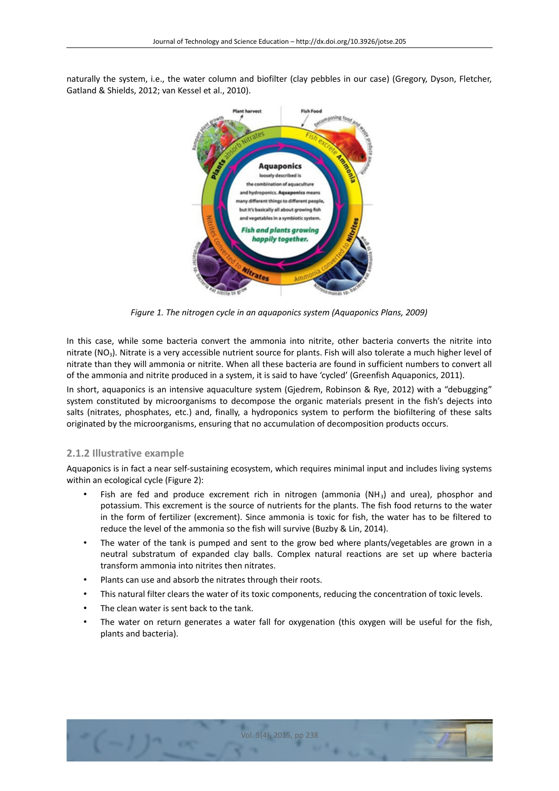naturally the system, i.e., the water column and biofilter (clay pebbles in our case) (Gregory, Dyson, Fletcher, Gatland & Shields, 2012; van Kessel et al., 2010).



*Figure 1. The nitrogen cycle in an aquaponics system (Aquaponics Plans, 2009)*

In this case, while some bacteria convert the ammonia into nitrite, other bacteria converts the nitrite into nitrate (NO<sub>3</sub>). Nitrate is a very accessible nutrient source for plants. Fish will also tolerate a much higher level of nitrate than they will ammonia or nitrite. When all these bacteria are found in sufficient numbers to convert all of the ammonia and nitrite produced in a system, it is said to have 'cycled' (Greenfish Aquaponics, 2011).

In short, aquaponics is an intensive aquaculture system (Gjedrem, Robinson & Rye, 2012) with a "debugging" system constituted by microorganisms to decompose the organic materials present in the fish's dejects into salts (nitrates, phosphates, etc.) and, finally, a hydroponics system to perform the biofiltering of these salts originated by the microorganisms, ensuring that no accumulation of decomposition products occurs.

## **2.1.2 Illustrative example**

Aquaponics is in fact a near self-sustaining ecosystem, which requires minimal input and includes living systems within an ecological cycle (Figure 2):

- Fish are fed and produce excrement rich in nitrogen (ammonia  $(NH<sub>3</sub>)$  and urea), phosphor and potassium. This excrement is the source of nutrients for the plants. The fish food returns to the water in the form of fertilizer (excrement). Since ammonia is toxic for fish, the water has to be filtered to reduce the level of the ammonia so the fish will survive (Buzby & Lin, 2014).
- The water of the tank is pumped and sent to the grow bed where plants/vegetables are grown in a neutral substratum of expanded clay balls. Complex natural reactions are set up where bacteria transform ammonia into nitrites then nitrates.
- Plants can use and absorb the nitrates through their roots.
- This natural filter clears the water of its toxic components, reducing the concentration of toxic levels.
- The clean water is sent back to the tank.
- The water on return generates a water fall for oxygenation (this oxygen will be useful for the fish, plants and bacteria).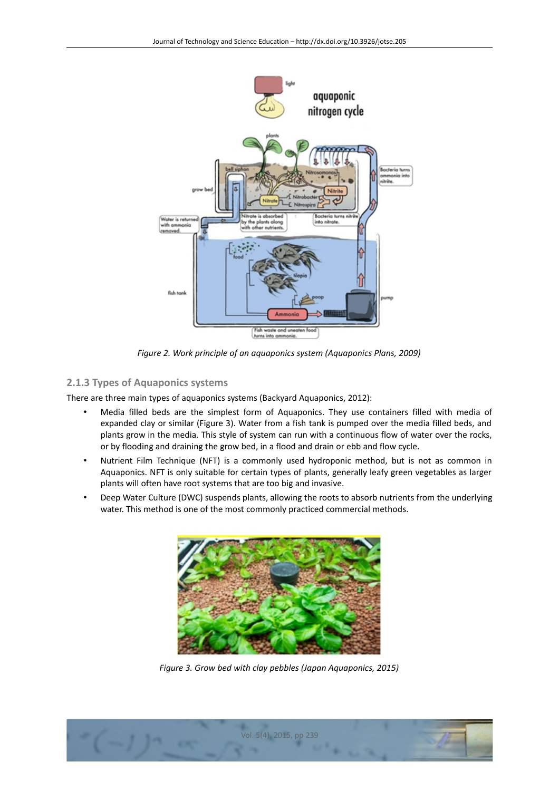

*Figure 2. Work principle of an aquaponics system (Aquaponics Plans, 2009)*

## **2.1.3 Types of Aquaponics systems**

There are three main types of aquaponics systems (Backyard Aquaponics, 2012):

- Media filled beds are the simplest form of Aquaponics. They use containers filled with media of expanded clay or similar (Figure 3). Water from a fish tank is pumped over the media filled beds, and plants grow in the media. This style of system can run with a continuous flow of water over the rocks, or by flooding and draining the grow bed, in a flood and drain or ebb and flow cycle.
- Nutrient Film Technique (NFT) is a commonly used hydroponic method, but is not as common in Aquaponics. NFT is only suitable for certain types of plants, generally leafy green vegetables as larger plants will often have root systems that are too big and invasive.
- Deep Water Culture (DWC) suspends plants, allowing the roots to absorb nutrients from the underlying water. This method is one of the most commonly practiced commercial methods.



*Figure 3. Grow bed with clay pebbles (Japan Aquaponics, 2015)*

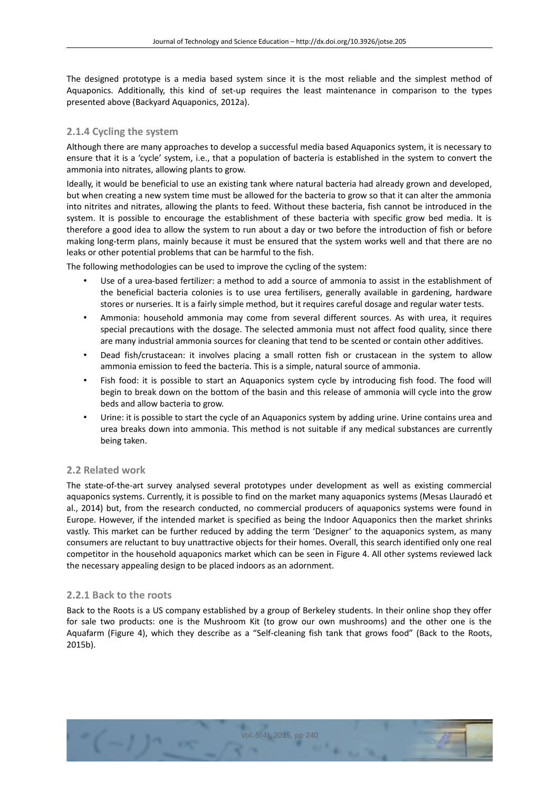The designed prototype is a media based system since it is the most reliable and the simplest method of Aquaponics. Additionally, this kind of set-up requires the least maintenance in comparison to the types presented above (Backyard Aquaponics, 2012a).

## **2.1.4 Cycling the system**

Although there are many approaches to develop a successful media based Aquaponics system, it is necessary to ensure that it is a 'cycle' system, i.e., that a population of bacteria is established in the system to convert the ammonia into nitrates, allowing plants to grow.

Ideally, it would be beneficial to use an existing tank where natural bacteria had already grown and developed, but when creating a new system time must be allowed for the bacteria to grow so that it can alter the ammonia into nitrites and nitrates, allowing the plants to feed. Without these bacteria, fish cannot be introduced in the system. It is possible to encourage the establishment of these bacteria with specific grow bed media. It is therefore a good idea to allow the system to run about a day or two before the introduction of fish or before making long-term plans, mainly because it must be ensured that the system works well and that there are no leaks or other potential problems that can be harmful to the fish.

The following methodologies can be used to improve the cycling of the system:

- Use of a urea-based fertilizer: a method to add a source of ammonia to assist in the establishment of the beneficial bacteria colonies is to use urea fertilisers, generally available in gardening, hardware stores or nurseries. It is a fairly simple method, but it requires careful dosage and regular water tests.
- Ammonia: household ammonia may come from several different sources. As with urea, it requires special precautions with the dosage. The selected ammonia must not affect food quality, since there are many industrial ammonia sources for cleaning that tend to be scented or contain other additives.
- Dead fish/crustacean: it involves placing a small rotten fish or crustacean in the system to allow ammonia emission to feed the bacteria. This is a simple, natural source of ammonia.
- Fish food: it is possible to start an Aquaponics system cycle by introducing fish food. The food will begin to break down on the bottom of the basin and this release of ammonia will cycle into the grow beds and allow bacteria to grow.
- Urine: it is possible to start the cycle of an Aquaponics system by adding urine. Urine contains urea and urea breaks down into ammonia. This method is not suitable if any medical substances are currently being taken.

## **2.2 Related work**

The state-of-the-art survey analysed several prototypes under development as well as existing commercial aquaponics systems. Currently, it is possible to find on the market many aquaponics systems (Mesas Llauradó et al., 2014) but, from the research conducted, no commercial producers of aquaponics systems were found in Europe. However, if the intended market is specified as being the Indoor Aquaponics then the market shrinks vastly. This market can be further reduced by adding the term 'Designer' to the aquaponics system, as many consumers are reluctant to buy unattractive objects for their homes. Overall, this search identified only one real competitor in the household aquaponics market which can be seen in Figure 4. All other systems reviewed lack the necessary appealing design to be placed indoors as an adornment.

## **2.2.1 Back to the roots**

Back to the Roots is a US company established by a group of Berkeley students. In their online shop they offer for sale two products: one is the Mushroom Kit (to grow our own mushrooms) and the other one is the Aquafarm (Figure 4), which they describe as a "Self-cleaning fish tank that grows food" (Back to the Roots, 2015b).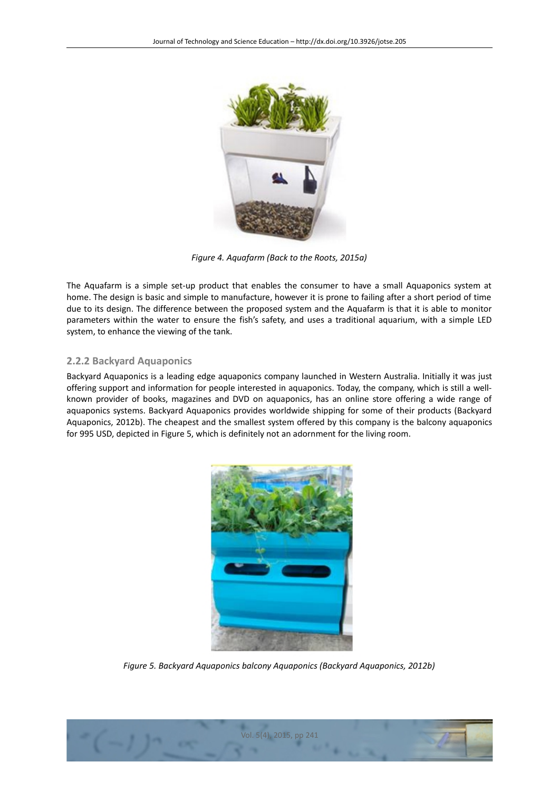

*Figure 4. Aquafarm (Back to the Roots, 2015a)*

The Aquafarm is a simple set-up product that enables the consumer to have a small Aquaponics system at home. The design is basic and simple to manufacture, however it is prone to failing after a short period of time due to its design. The difference between the proposed system and the Aquafarm is that it is able to monitor parameters within the water to ensure the fish's safety, and uses a traditional aquarium, with a simple LED system, to enhance the viewing of the tank.

## **2.2.2 Backyard Aquaponics**

Backyard Aquaponics is a leading edge aquaponics company launched in Western Australia. Initially it was just offering support and information for people interested in aquaponics. Today, the company, which is still a wellknown provider of books, magazines and DVD on aquaponics, has an online store offering a wide range of aquaponics systems. Backyard Aquaponics provides worldwide shipping for some of their products (Backyard Aquaponics, 2012b). The cheapest and the smallest system offered by this company is the balcony aquaponics for 995 USD, depicted in Figure 5, which is definitely not an adornment for the living room.



*Figure 5. Backyard Aquaponics balcony Aquaponics (Backyard Aquaponics, 2012b)*

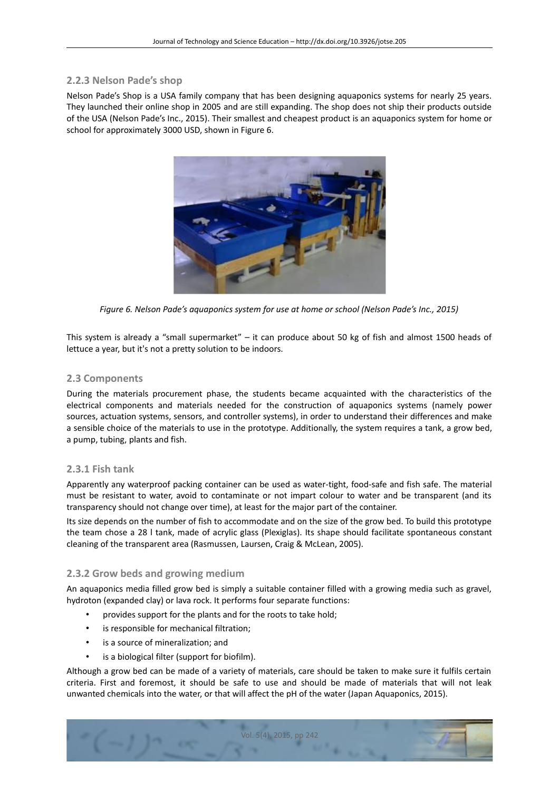## **2.2.3 Nelson Pade's shop**

Nelson Pade's Shop is a USA family company that has been designing aquaponics systems for nearly 25 years. They launched their online shop in 2005 and are still expanding. The shop does not ship their products outside of the USA (Nelson Pade's Inc., 2015). Their smallest and cheapest product is an aquaponics system for home or school for approximately 3000 USD, shown in Figure 6.



*Figure 6. Nelson Pade's aquaponics system for use at home or school (Nelson Pade's Inc., 2015)*

This system is already a "small supermarket" – it can produce about 50 kg of fish and almost 1500 heads of lettuce a year, but it's not a pretty solution to be indoors.

## **2.3 Components**

During the materials procurement phase, the students became acquainted with the characteristics of the electrical components and materials needed for the construction of aquaponics systems (namely power sources, actuation systems, sensors, and controller systems), in order to understand their differences and make a sensible choice of the materials to use in the prototype. Additionally, the system requires a tank, a grow bed, a pump, tubing, plants and fish.

## **2.3.1 Fish tank**

Apparently any waterproof packing container can be used as water-tight, food-safe and fish safe. The material must be resistant to water, avoid to contaminate or not impart colour to water and be transparent (and its transparency should not change over time), at least for the major part of the container.

Its size depends on the number of fish to accommodate and on the size of the grow bed. To build this prototype the team chose a 28 l tank, made of acrylic glass (Plexiglas). Its shape should facilitate spontaneous constant cleaning of the transparent area (Rasmussen, Laursen, Craig & McLean, 2005).

## **2.3.2 Grow beds and growing medium**

An aquaponics media filled grow bed is simply a suitable container filled with a growing media such as gravel, hydroton (expanded clay) or lava rock. It performs four separate functions:

- provides support for the plants and for the roots to take hold;
- is responsible for mechanical filtration;
- is a source of mineralization; and
- is a biological filter (support for biofilm).

Although a grow bed can be made of a variety of materials, care should be taken to make sure it fulfils certain criteria. First and foremost, it should be safe to use and should be made of materials that will not leak unwanted chemicals into the water, or that will affect the pH of the water (Japan Aquaponics, 2015).

Vol. 5(4), 2015, pp 242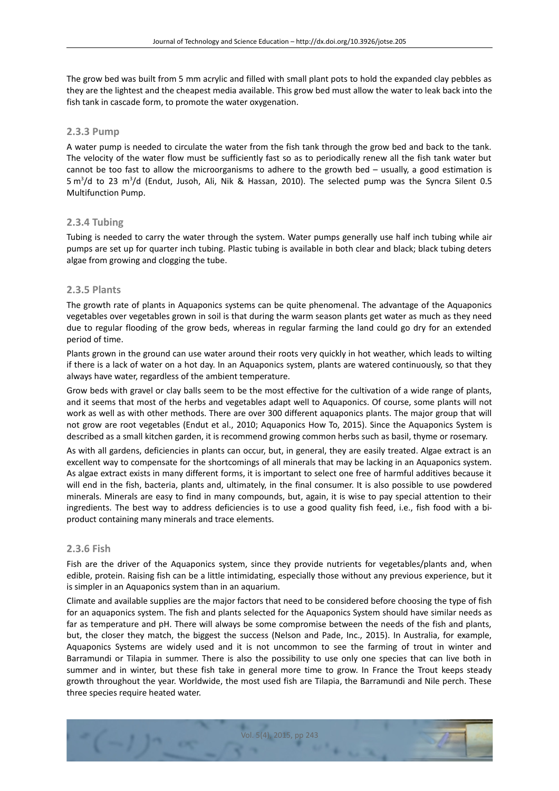The grow bed was built from 5 mm acrylic and filled with small plant pots to hold the expanded clay pebbles as they are the lightest and the cheapest media available. This grow bed must allow the water to leak back into the fish tank in cascade form, to promote the water oxygenation.

## **2.3.3 Pump**

A water pump is needed to circulate the water from the fish tank through the grow bed and back to the tank. The velocity of the water flow must be sufficiently fast so as to periodically renew all the fish tank water but cannot be too fast to allow the microorganisms to adhere to the growth bed – usually, a good estimation is 5 m<sup>3</sup>/d to 23 m<sup>3</sup>/d (Endut, Jusoh, Ali, Nik & Hassan, 2010). The selected pump was the Syncra Silent 0.5 Multifunction Pump.

## **2.3.4 Tubing**

Tubing is needed to carry the water through the system. Water pumps generally use half inch tubing while air pumps are set up for quarter inch tubing. Plastic tubing is available in both clear and black; black tubing deters algae from growing and clogging the tube.

## **2.3.5 Plants**

The growth rate of plants in Aquaponics systems can be quite phenomenal. The advantage of the Aquaponics vegetables over vegetables grown in soil is that during the warm season plants get water as much as they need due to regular flooding of the grow beds, whereas in regular farming the land could go dry for an extended period of time.

Plants grown in the ground can use water around their roots very quickly in hot weather, which leads to wilting if there is a lack of water on a hot day. In an Aquaponics system, plants are watered continuously, so that they always have water, regardless of the ambient temperature.

Grow beds with gravel or clay balls seem to be the most effective for the cultivation of a wide range of plants, and it seems that most of the herbs and vegetables adapt well to Aquaponics. Of course, some plants will not work as well as with other methods. There are over 300 different aquaponics plants. The major group that will not grow are root vegetables (Endut et al., 2010; Aquaponics How To, 2015). Since the Aquaponics System is described as a small kitchen garden, it is recommend growing common herbs such as basil, thyme or rosemary.

As with all gardens, deficiencies in plants can occur, but, in general, they are easily treated. Algae extract is an excellent way to compensate for the shortcomings of all minerals that may be lacking in an Aquaponics system. As algae extract exists in many different forms, it is important to select one free of harmful additives because it will end in the fish, bacteria, plants and, ultimately, in the final consumer. It is also possible to use powdered minerals. Minerals are easy to find in many compounds, but, again, it is wise to pay special attention to their ingredients. The best way to address deficiencies is to use a good quality fish feed, i.e., fish food with a biproduct containing many minerals and trace elements.

## **2.3.6 Fish**

Fish are the driver of the Aquaponics system, since they provide nutrients for vegetables/plants and, when edible, protein. Raising fish can be a little intimidating, especially those without any previous experience, but it is simpler in an Aquaponics system than in an aquarium.

Climate and available supplies are the major factors that need to be considered before choosing the type of fish for an aquaponics system. The fish and plants selected for the Aquaponics System should have similar needs as far as temperature and pH. There will always be some compromise between the needs of the fish and plants, but, the closer they match, the biggest the success (Nelson and Pade, Inc., 2015). In Australia, for example, Aquaponics Systems are widely used and it is not uncommon to see the farming of trout in winter and Barramundi or Tilapia in summer. There is also the possibility to use only one species that can live both in summer and in winter, but these fish take in general more time to grow. In France the Trout keeps steady growth throughout the year. Worldwide, the most used fish are Tilapia, the Barramundi and Nile perch. These three species require heated water.

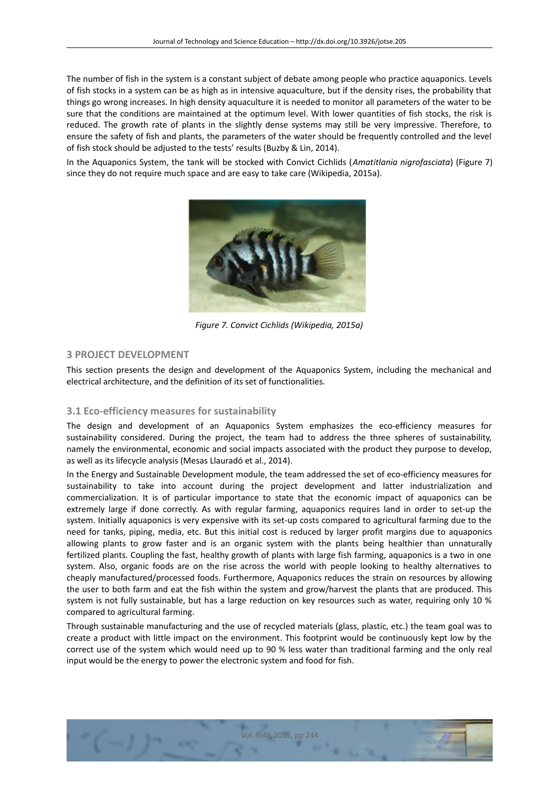The number of fish in the system is a constant subject of debate among people who practice aquaponics. Levels of fish stocks in a system can be as high as in intensive aquaculture, but if the density rises, the probability that things go wrong increases. In high density aquaculture it is needed to monitor all parameters of the water to be sure that the conditions are maintained at the optimum level. With lower quantities of fish stocks, the risk is reduced. The growth rate of plants in the slightly dense systems may still be very impressive. Therefore, to ensure the safety of fish and plants, the parameters of the water should be frequently controlled and the level of fish stock should be adjusted to the tests' results (Buzby & Lin, 2014).

In the Aquaponics System, the tank will be stocked with Convict Cichlids (*Amatitlania nigrofasciata*) (Figure 7) since they do not require much space and are easy to take care (Wikipedia, 2015a).



*Figure 7. Convict Cichlids (Wikipedia, 2015a)*

## **3 PROJECT DEVELOPMENT**

This section presents the design and development of the Aquaponics System, including the mechanical and electrical architecture, and the definition of its set of functionalities.

## **3.1 Eco-efficiency measures for sustainability**

The design and development of an Aquaponics System emphasizes the eco-efficiency measures for sustainability considered. During the project, the team had to address the three spheres of sustainability, namely the environmental, economic and social impacts associated with the product they purpose to develop, as well as its lifecycle analysis (Mesas Llauradó et al., 2014).

In the Energy and Sustainable Development module, the team addressed the set of eco-efficiency measures for sustainability to take into account during the project development and latter industrialization and commercialization. It is of particular importance to state that the economic impact of aquaponics can be extremely large if done correctly. As with regular farming, aquaponics requires land in order to set-up the system. Initially aquaponics is very expensive with its set-up costs compared to agricultural farming due to the need for tanks, piping, media, etc. But this initial cost is reduced by larger profit margins due to aquaponics allowing plants to grow faster and is an organic system with the plants being healthier than unnaturally fertilized plants. Coupling the fast, healthy growth of plants with large fish farming, aquaponics is a two in one system. Also, organic foods are on the rise across the world with people looking to healthy alternatives to cheaply manufactured/processed foods. Furthermore, Aquaponics reduces the strain on resources by allowing the user to both farm and eat the fish within the system and grow/harvest the plants that are produced. This system is not fully sustainable, but has a large reduction on key resources such as water, requiring only 10 % compared to agricultural farming.

Through sustainable manufacturing and the use of recycled materials (glass, plastic, etc.) the team goal was to create a product with little impact on the environment. This footprint would be continuously kept low by the correct use of the system which would need up to 90 % less water than traditional farming and the only real input would be the energy to power the electronic system and food for fish.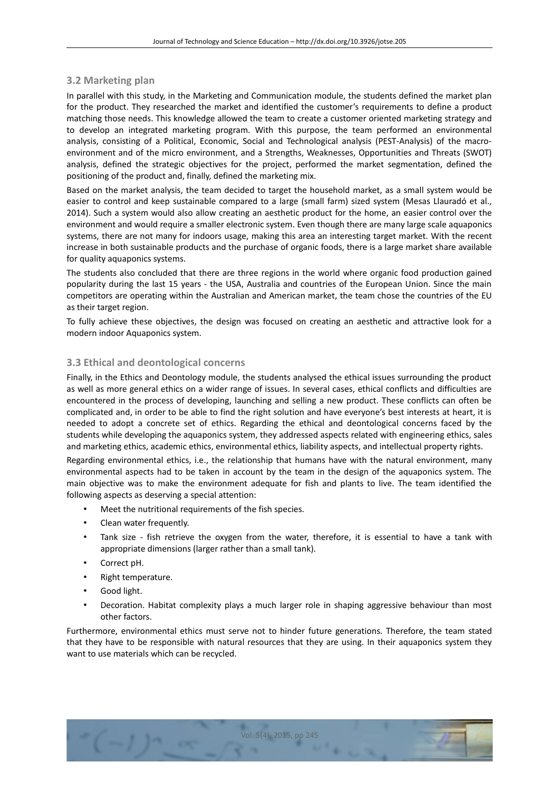## **3.2 Marketing plan**

In parallel with this study, in the Marketing and Communication module, the students defined the market plan for the product. They researched the market and identified the customer's requirements to define a product matching those needs. This knowledge allowed the team to create a customer oriented marketing strategy and to develop an integrated marketing program. With this purpose, the team performed an environmental analysis, consisting of a Political, Economic, Social and Technological analysis (PEST-Analysis) of the macro‐ environment and of the micro environment, and a Strengths, Weaknesses, Opportunities and Threats (SWOT) analysis, defined the strategic objectives for the project, performed the market segmentation, defined the positioning of the product and, finally, defined the marketing mix.

Based on the market analysis, the team decided to target the household market, as a small system would be easier to control and keep sustainable compared to a large (small farm) sized system (Mesas Llauradó et al., 2014). Such a system would also allow creating an aesthetic product for the home, an easier control over the environment and would require a smaller electronic system. Even though there are many large scale aquaponics systems, there are not many for indoors usage, making this area an interesting target market. With the recent increase in both sustainable products and the purchase of organic foods, there is a large market share available for quality aquaponics systems.

The students also concluded that there are three regions in the world where organic food production gained popularity during the last 15 years - the USA, Australia and countries of the European Union. Since the main competitors are operating within the Australian and American market, the team chose the countries of the EU as their target region.

To fully achieve these objectives, the design was focused on creating an aesthetic and attractive look for a modern indoor Aquaponics system.

#### **3.3 Ethical and deontological concerns**

Finally, in the Ethics and Deontology module, the students analysed the ethical issues surrounding the product as well as more general ethics on a wider range of issues. In several cases, ethical conflicts and difficulties are encountered in the process of developing, launching and selling a new product. These conflicts can often be complicated and, in order to be able to find the right solution and have everyone's best interests at heart, it is needed to adopt a concrete set of ethics. Regarding the ethical and deontological concerns faced by the students while developing the aquaponics system, they addressed aspects related with engineering ethics, sales and marketing ethics, academic ethics, environmental ethics, liability aspects, and intellectual property rights.

Regarding environmental ethics, i.e., the relationship that humans have with the natural environment, many environmental aspects had to be taken in account by the team in the design of the aquaponics system. The main objective was to make the environment adequate for fish and plants to live. The team identified the following aspects as deserving a special attention:

- Meet the nutritional requirements of the fish species.
- Clean water frequently.
- Tank size fish retrieve the oxygen from the water, therefore, it is essential to have a tank with appropriate dimensions (larger rather than a small tank).
- Correct pH.
- Right temperature.
- Good light.
- Decoration. Habitat complexity plays a much larger role in shaping aggressive behaviour than most other factors.

Furthermore, environmental ethics must serve not to hinder future generations. Therefore, the team stated that they have to be responsible with natural resources that they are using. In their aquaponics system they want to use materials which can be recycled.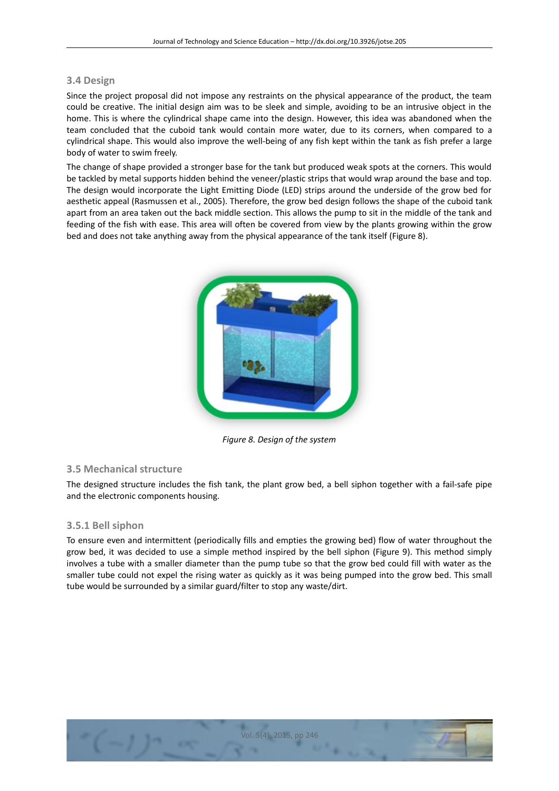## **3.4 Design**

Since the project proposal did not impose any restraints on the physical appearance of the product, the team could be creative. The initial design aim was to be sleek and simple, avoiding to be an intrusive object in the home. This is where the cylindrical shape came into the design. However, this idea was abandoned when the team concluded that the cuboid tank would contain more water, due to its corners, when compared to a cylindrical shape. This would also improve the well-being of any fish kept within the tank as fish prefer a large body of water to swim freely.

The change of shape provided a stronger base for the tank but produced weak spots at the corners. This would be tackled by metal supports hidden behind the veneer/plastic strips that would wrap around the base and top. The design would incorporate the Light Emitting Diode (LED) strips around the underside of the grow bed for aesthetic appeal (Rasmussen et al., 2005). Therefore, the grow bed design follows the shape of the cuboid tank apart from an area taken out the back middle section. This allows the pump to sit in the middle of the tank and feeding of the fish with ease. This area will often be covered from view by the plants growing within the grow bed and does not take anything away from the physical appearance of the tank itself (Figure 8).



*Figure 8. Design of the system*

## **3.5 Mechanical structure**

The designed structure includes the fish tank, the plant grow bed, a bell siphon together with a fail-safe pipe and the electronic components housing.

## **3.5.1 Bell siphon**

To ensure even and intermittent (periodically fills and empties the growing bed) flow of water throughout the grow bed, it was decided to use a simple method inspired by the bell siphon (Figure 9). This method simply involves a tube with a smaller diameter than the pump tube so that the grow bed could fill with water as the smaller tube could not expel the rising water as quickly as it was being pumped into the grow bed. This small tube would be surrounded by a similar guard/filter to stop any waste/dirt.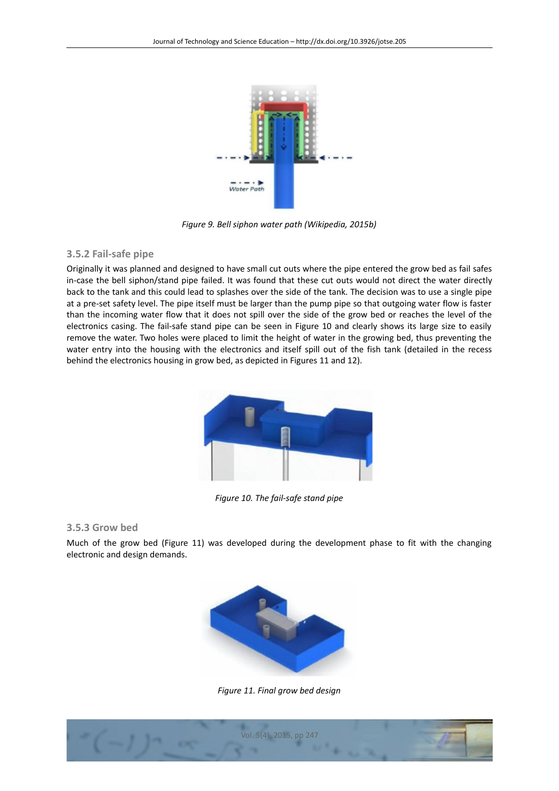

*Figure 9. Bell siphon water path (Wikipedia, 2015b)*

## **3.5.2 Fail-safe pipe**

Originally it was planned and designed to have small cut outs where the pipe entered the grow bed as fail safes in-case the bell siphon/stand pipe failed. It was found that these cut outs would not direct the water directly back to the tank and this could lead to splashes over the side of the tank. The decision was to use a single pipe at a pre-set safety level. The pipe itself must be larger than the pump pipe so that outgoing water flow is faster than the incoming water flow that it does not spill over the side of the grow bed or reaches the level of the electronics casing. The fail-safe stand pipe can be seen in Figure 10 and clearly shows its large size to easily remove the water. Two holes were placed to limit the height of water in the growing bed, thus preventing the water entry into the housing with the electronics and itself spill out of the fish tank (detailed in the recess behind the electronics housing in grow bed, as depicted in Figures 11 and 12).



*Figure 10. The fail-safe stand pipe*

## **3.5.3 Grow bed**

Much of the grow bed (Figure 11) was developed during the development phase to fit with the changing electronic and design demands.



*Figure 11. Final grow bed design*

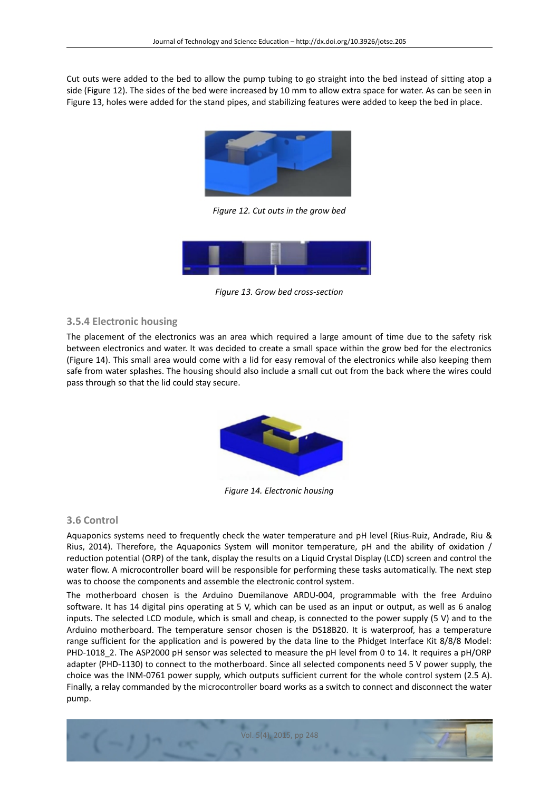Cut outs were added to the bed to allow the pump tubing to go straight into the bed instead of sitting atop a side (Figure 12). The sides of the bed were increased by 10 mm to allow extra space for water. As can be seen in Figure 13, holes were added for the stand pipes, and stabilizing features were added to keep the bed in place.



*Figure 12. Cut outs in the grow bed*



*Figure 13. Grow bed cross-section*

## **3.5.4 Electronic housing**

The placement of the electronics was an area which required a large amount of time due to the safety risk between electronics and water. It was decided to create a small space within the grow bed for the electronics (Figure 14). This small area would come with a lid for easy removal of the electronics while also keeping them safe from water splashes. The housing should also include a small cut out from the back where the wires could pass through so that the lid could stay secure.



*Figure 14. Electronic housing*

## **3.6 Control**

Aquaponics systems need to frequently check the water temperature and pH level (Rius-Ruiz, Andrade, Riu & Rius, 2014). Therefore, the Aquaponics System will monitor temperature, pH and the ability of oxidation / reduction potential (ORP) of the tank, display the results on a Liquid Crystal Display (LCD) screen and control the water flow. A microcontroller board will be responsible for performing these tasks automatically. The next step was to choose the components and assemble the electronic control system.

The motherboard chosen is the Arduino Duemilanove ARDU-004, programmable with the free Arduino software. It has 14 digital pins operating at 5 V, which can be used as an input or output, as well as 6 analog inputs. The selected LCD module, which is small and cheap, is connected to the power supply (5 V) and to the Arduino motherboard. The temperature sensor chosen is the DS18B20. It is waterproof, has a temperature range sufficient for the application and is powered by the data line to the Phidget Interface Kit 8/8/8 Model: PHD-1018 2. The ASP2000 pH sensor was selected to measure the pH level from 0 to 14. It requires a pH/ORP adapter (PHD-1130) to connect to the motherboard. Since all selected components need 5 V power supply, the choice was the INM-0761 power supply, which outputs sufficient current for the whole control system (2.5 A). Finally, a relay commanded by the microcontroller board works as a switch to connect and disconnect the water pump.

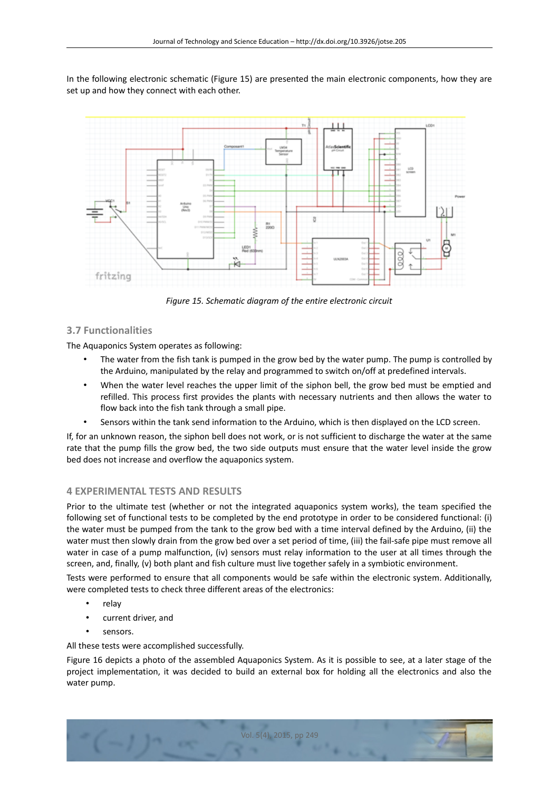In the following electronic schematic (Figure 15) are presented the main electronic components, how they are set up and how they connect with each other.

![](_page_14_Figure_2.jpeg)

*Figure 15. Schematic diagram of the entire electronic circuit*

## **3.7 Functionalities**

The Aquaponics System operates as following:

- The water from the fish tank is pumped in the grow bed by the water pump. The pump is controlled by the Arduino, manipulated by the relay and programmed to switch on/off at predefined intervals.
- When the water level reaches the upper limit of the siphon bell, the grow bed must be emptied and refilled. This process first provides the plants with necessary nutrients and then allows the water to flow back into the fish tank through a small pipe.
- Sensors within the tank send information to the Arduino, which is then displayed on the LCD screen.

If, for an unknown reason, the siphon bell does not work, or is not sufficient to discharge the water at the same rate that the pump fills the grow bed, the two side outputs must ensure that the water level inside the grow bed does not increase and overflow the aquaponics system.

## **4 EXPERIMENTAL TESTS AND RESULTS**

Prior to the ultimate test (whether or not the integrated aquaponics system works), the team specified the following set of functional tests to be completed by the end prototype in order to be considered functional: (i) the water must be pumped from the tank to the grow bed with a time interval defined by the Arduino, (ii) the water must then slowly drain from the grow bed over a set period of time, (iii) the fail-safe pipe must remove all water in case of a pump malfunction, (iv) sensors must relay information to the user at all times through the screen, and, finally, (v) both plant and fish culture must live together safely in a symbiotic environment.

Tests were performed to ensure that all components would be safe within the electronic system. Additionally, were completed tests to check three different areas of the electronics:

- relay
- current driver, and
- sensors.

All these tests were accomplished successfully.

Figure 16 depicts a photo of the assembled Aquaponics System. As it is possible to see, at a later stage of the project implementation, it was decided to build an external box for holding all the electronics and also the water pump.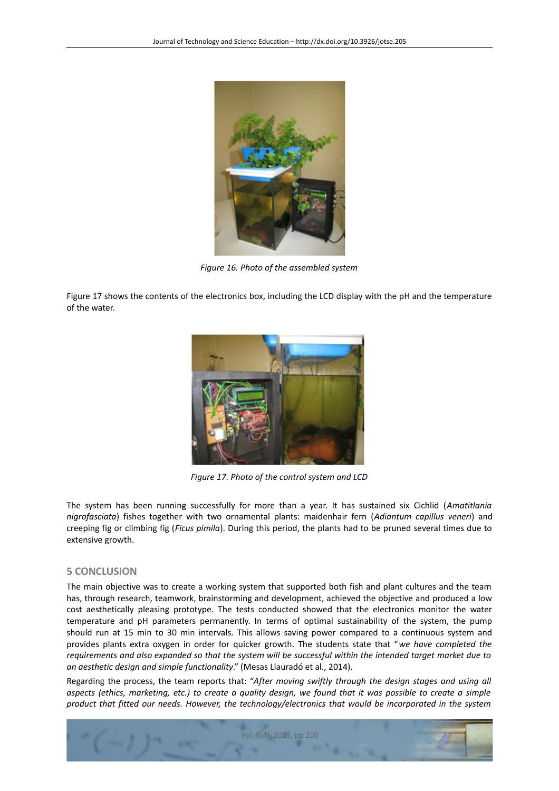![](_page_15_Picture_1.jpeg)

*Figure 16. Photo of the assembled system*

Figure 17 shows the contents of the electronics box, including the LCD display with the pH and the temperature of the water.

![](_page_15_Picture_4.jpeg)

*Figure 17. Photo of the control system and LCD*

The system has been running successfully for more than a year. It has sustained six Cichlid (*Amatitlania nigrofasciata*) fishes together with two ornamental plants: maidenhair fern (*Adiantum capillus veneri*) and creeping fig or climbing fig (*Ficus pimila*). During this period, the plants had to be pruned several times due to extensive growth.

## **5 CONCLUSION**

The main objective was to create a working system that supported both fish and plant cultures and the team has, through research, teamwork, brainstorming and development, achieved the objective and produced a low cost aesthetically pleasing prototype. The tests conducted showed that the electronics monitor the water temperature and pH parameters permanently. In terms of optimal sustainability of the system, the pump should run at 15 min to 30 min intervals. This allows saving power compared to a continuous system and provides plants extra oxygen in order for quicker growth. The students state that "*we have completed the requirements and also expanded so that the system will be successful within the intended target market due to an aesthetic design and simple functionality*." (Mesas Llauradó et al., 2014).

Regarding the process, the team reports that: "*After moving swiftly through the design stages and using all aspects (ethics, marketing, etc.) to create a quality design, we found that it was possible to create a simple product that fitted our needs. However, the technology/electronics that would be incorporated in the system*

![](_page_15_Picture_10.jpeg)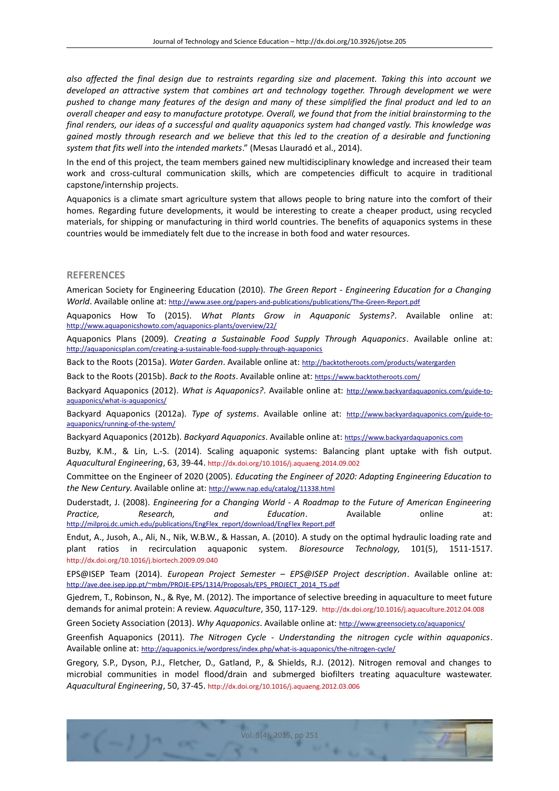*also affected the final design due to restraints regarding size and placement. Taking this into account we developed an attractive system that combines art and technology together. Through development we were pushed to change many features of the design and many of these simplified the final product and led to an overall cheaper and easy to manufacture prototype. Overall, we found that from the initial brainstorming to the final renders, our ideas of a successful and quality aquaponics system had changed vastly. This knowledge was gained mostly through research and we believe that this led to the creation of a desirable and functioning system that fits well into the intended markets*." (Mesas Llauradó et al., 2014).

In the end of this project, the team members gained new multidisciplinary knowledge and increased their team work and cross-cultural communication skills, which are competencies difficult to acquire in traditional capstone/internship projects.

Aquaponics is a climate smart agriculture system that allows people to bring nature into the comfort of their homes. Regarding future developments, it would be interesting to create a cheaper product, using recycled materials, for shipping or manufacturing in third world countries. The benefits of aquaponics systems in these countries would be immediately felt due to the increase in both food and water resources.

#### **REFERENCES**

American Society for Engineering Education (2010). *The Green Report - Engineering Education for a Changing World*. Available online at: <http://www.asee.org/papers-and-publications/publications/The-Green-Report.pdf>

Aquaponics How To (2015). *What Plants Grow in Aquaponic Systems?*. Available online at: <http://www.aquaponicshowto.com/aquaponics-plants/overview/22/>

Aquaponics Plans (2009). *Creating a Sustainable Food Supply Through Aquaponics*. Available online at: <http://aquaponicsplan.com/creating-a-sustainable-food-supply-through-aquaponics>

Back to the Roots (2015a). *Water Garden*. Available online at: <http://backtotheroots.com/products/watergarden>

Back to the Roots (2015b). *Back to the Roots*. Available online at: <https://www.backtotheroots.com/>

Backyard Aquaponics (2012). *What is Aquaponics?*. Available online at: [http://www.backyardaquaponics.com/guide-to](http://www.backyardaquaponics.com/guide-to-aquaponics/what-is-aquaponics/)[aquaponics/what-is-aquaponics/](http://www.backyardaquaponics.com/guide-to-aquaponics/what-is-aquaponics/)

Backyard Aquaponics (2012a). *Type of systems*. Available online at: [http://www.backyardaquaponics.com/guide-to](http://www.backyardaquaponics.com/guide-to-aquaponics/running-of-the-system/)[aquaponics/running-of-the-system/](http://www.backyardaquaponics.com/guide-to-aquaponics/running-of-the-system/)

Backyard Aquaponics (2012b). *Backyard Aquaponics*. Available online at: [https://www.backyardaquaponics.com](https://www.backyardaquaponics.com/)

Buzby, K.M., & Lin, L.-S. (2014). Scaling aquaponic systems: Balancing plant uptake with fish output. *Aquacultural Engineering*, 63, 39-44. <http://dx.doi.org/10.1016/j.aquaeng.2014.09.002>

Committee on the Engineer of 2020 (2005). *Educating the Engineer of 2020: Adapting Engineering Education to the New Century*. Available online at: <http://www.nap.edu/catalog/11338.html>

Duderstadt, J. (2008). *Engineering for a Changing World - A Roadmap to the Future of American Engineering Practice, Research, and Education*. Available online at: [http://milproj.dc.umich.edu/publications/EngFlex\\_report/download/EngFlex Report.pdf](http://milproj.dc.umich.edu/publications/EngFlex_report/download/EngFlex%20Report.pdf)

Endut, A., Jusoh, A., Ali, N., Nik, W.B.W., & Hassan, A. (2010). A study on the optimal hydraulic loading rate and plant ratios in recirculation aquaponic system. *Bioresource Technology*, 101(5), 1511-1517. <http://dx.doi.org/10.1016/j.biortech.2009.09.040>

EPS@ISEP Team (2014). *European Project Semester – EPS@ISEP Project description*. Available online at: [http://ave.dee.isep.ipp.pt/~mbm/PROJE-EPS/1314/Proposals/EPS\\_PROJECT\\_2014\\_T5.pdf](http://ave.dee.isep.ipp.pt/~mbm/PROJE-EPS/1314/Proposals/EPS_PROJECT_2014_T5.pdf)

Gjedrem, T., Robinson, N., & Rye, M. (2012). The importance of selective breeding in aquaculture to meet future demands for animal protein: A review. *Aquaculture*, 350, 117-129. <http://dx.doi.org/10.1016/j.aquaculture.2012.04.008>

Green Society Association (2013). *Why Aquaponics*. Available online at: <http://www.greensociety.co/aquaponics/>

Greenfish Aquaponics (2011). *The Nitrogen Cycle - Understanding the nitrogen cycle within aquaponics*. Available online at: <http://aquaponics.ie/wordpress/index.php/what-is-aquaponics/the-nitrogen-cycle/>

Gregory, S.P., Dyson, P.J., Fletcher, D., Gatland, P., & Shields, R.J. (2012). Nitrogen removal and changes to microbial communities in model flood/drain and submerged biofilters treating aquaculture wastewater. *Aquacultural Engineering*, 50, 37-45. <http://dx.doi.org/10.1016/j.aquaeng.2012.03.006>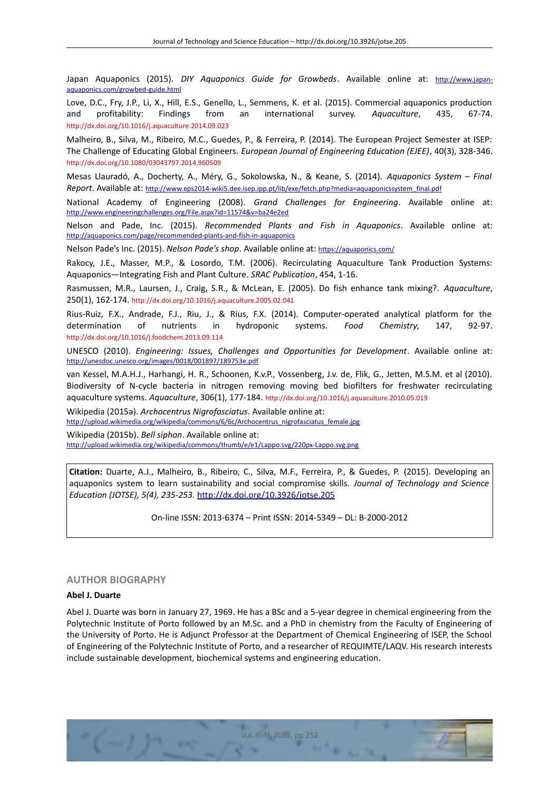Japan Aquaponics (2015). *DIY Aquaponics Guide for Growbeds*. Available online at: [http://www.japan](http://www.japan-aquaponics.com/growbed-guide.html)[aquaponics.com/growbed-guide.html](http://www.japan-aquaponics.com/growbed-guide.html)

Love, D.C., Fry, J.P., Li, X., Hill, E.S., Genello, L., Semmens, K. et al. (2015). Commercial aquaponics production and profitability: Findings from an international survey. *Aquaculture*, 435, 67-74. <http://dx.doi.org/10.1016/j.aquaculture.2014.09.023>

Malheiro, B., Silva, M., Ribeiro, M.C., Guedes, P., & Ferreira, P. (2014). The European Project Semester at ISEP: The Challenge of Educating Global Engineers. *European Journal of Engineering Education (EJEE)*, 40(3), 328-346. <http://dx.doi.org/10.1080/03043797.2014.960509>

Mesas Llauradó, A., Docherty, A., Méry, G., Sokolowska, N., & Keane, S. (2014). *Aquaponics System – Final Report*. Available at: [http://www.eps2014-wiki5.dee.isep.ipp.pt/lib/exe/fetch.php?media=aquaponicssystem\\_final.pdf](http://www.eps2014-wiki5.dee.isep.ipp.pt/lib/exe/fetch.php?media=aquaponicssystem_final.pdf)

National Academy of Engineering (2008). *Grand Challenges for Engineering*. Available online at: <http://www.engineeringchallenges.org/File.aspx?id=11574&v=ba24e2ed>

Nelson and Pade, Inc. (2015). *Recommended Plants and Fish in Aquaponics*. Available online at: <http://aquaponics.com/page/recommended-plants-and-fish-in-aquaponics>

Nelson Pade's Inc. (2015). *Nelson Pade's shop*. Available online at: <https://aquaponics.com/>

Rakocy, J.E., Masser, M.P., & Losordo, T.M. (2006). Recirculating Aquaculture Tank Production Systems: Aquaponics—Integrating Fish and Plant Culture. *SRAC Publication*, 454, 1-16.

Rasmussen, M.R., Laursen, J., Craig, S.R., & McLean, E. (2005). Do fish enhance tank mixing?. *Aquaculture*, 250(1), 162-174. <http://dx.doi.org/10.1016/j.aquaculture.2005.02.041>

Rius-Ruiz, F.X., Andrade, F.J., Riu, J., & Rius, F.X. (2014). Computer-operated analytical platform for the determination of nutrients in hydroponic systems. *Food Chemistry*, 147, 92-97. <http://dx.doi.org/10.1016/j.foodchem.2013.09.114>

UNESCO (2010). *Engineering: Issues, Challenges and Opportunities for Development*. Available online at: <http://unesdoc.unesco.org/images/0018/001897/189753e.pdf>

van Kessel, M.A.H.J., Harhangi, H. R., Schoonen, K.v.P., Vossenberg, J.v. de, Flik, G., Jetten, M.S.M. et al (2010). Biodiversity of N-cycle bacteria in nitrogen removing moving bed biofilters for freshwater recirculating aquaculture systems. *Aquaculture*, 306(1), 177-184. <http://dx.doi.org/10.1016/j.aquaculture.2010.05.019>

Wikipedia (2015a). *Archocentrus Nigrofasciatus*. Available online at: [http://upload.wikimedia.org/wikipedia/commons/6/6c/Archocentrus\\_nigrofasciatus\\_female.jpg](http://upload.wikimedia.org/wikipedia/commons/6/6c/Archocentrus_nigrofasciatus_female.jpg)

Wikipedia (2015b). *Bell siphon*. Available online at: <http://upload.wikimedia.org/wikipedia/commons/thumb/e/e1/Lappo.svg/220px-Lappo.svg.png>

**Citation:** Duarte, A.J., Malheiro, B., Ribeiro, C., Silva, M.F., Ferreira, P., & Guedes, P. (2015). Developing an aquaponics system to learn sustainability and social compromise skills. *Journal of Technology and Science Education (JOTSE), 5(4), 235-253.* <http://dx.doi.org/10.3926/jotse.205>

On-line ISSN: 2013-6374 – Print ISSN: 2014-5349 – DL: B-2000-2012

## **AUTHOR BIOGRAPHY**

#### **Abel J. Duarte**

Abel J. Duarte was born in January 27, 1969. He has a BSc and a 5-year degree in chemical engineering from the Polytechnic Institute of Porto followed by an M.Sc. and a PhD in chemistry from the Faculty of Engineering of the University of Porto. He is Adjunct Professor at the Department of Chemical Engineering of ISEP, the School of Engineering of the Polytechnic Institute of Porto, and a researcher of REQUIMTE/LAQV. His research interests include sustainable development, biochemical systems and engineering education.